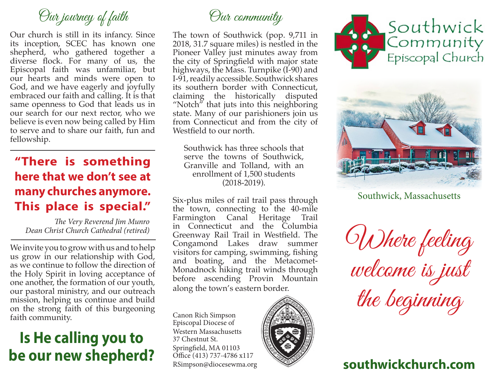## Our journey of faith Our community

Our church is still in its infancy. Since its inception, SCEC has known one shepherd, who gathered together a diverse flock. For many of us, the Episcopal faith was unfamiliar, but our hearts and minds were open to God, and we have eagerly and joyfully embraced our faith and calling. It is that same openness to God that leads us in our search for our next rector, who we believe is even now being called by Him to serve and to share our faith, fun and fellowship.

#### **"There is something here that we don't see at many churches anymore. This place is special."**

*The Very Reverend Jim Munro Dean Christ Church Cathedral (retired)*

We invite you to grow with us and to help us grow in our relationship with God, as we continue to follow the direction of the Holy Spirit in loving acceptance of one another, the formation of our youth, our pastoral ministry, and our outreach mission, helping us continue and build on the strong faith of this burgeoning faith community.

### **Is He calling you to be our new shepherd?**

The town of Southwick (pop. 9,711 in 2018, 31.7 square miles) is nestled in the Pioneer Valley just minutes away from the city of Springfield with major state highways, the Mass. Turnpike (I-90) and I-91, readily accessible. Southwick shares its southern border with Connecticut, claiming the historically disputed "Notch" that juts into this neighboring state. Many of our parishioners join us from Connecticut and from the city of Westfield to our north.

Southwick has three schools that serve the towns of Southwick, Granville and Tolland, with an enrollment of 1,500 students (2018-2019).

Six-plus miles of rail trail pass through the town, connecting to the 40-mile Farmington Canal Heritage Trail in Connecticut and the Columbia Greenway Rail Trail in Westfield. The Congamond Lakes draw summer visitors for camping, swimming, fishing and boating, and the Metacomet-Monadnock hiking trail winds through before ascending Provin Mountain along the town's eastern border.

Canon Rich Simpson Episcopal Diocese of Western Massachusetts 37 Chestnut St. Springfield, MA 01103 Office (413) 737-4786 x117







Southwick, Massachusetts

Where feeling welcome is just the beginning

#### RSimpson@diocesewma.org **southwickchurch.com**